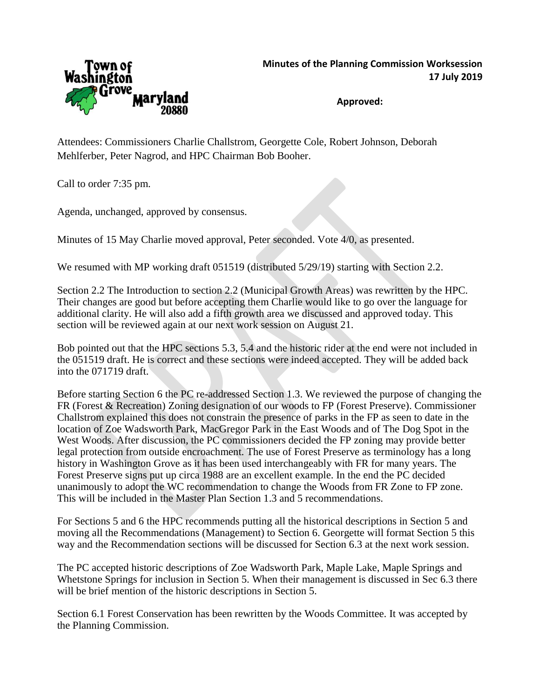

**Approved:**

Attendees: Commissioners Charlie Challstrom, Georgette Cole, Robert Johnson, Deborah Mehlferber, Peter Nagrod, and HPC Chairman Bob Booher.

Call to order 7:35 pm.

Agenda, unchanged, approved by consensus.

Minutes of 15 May Charlie moved approval, Peter seconded. Vote 4/0, as presented.

We resumed with MP working draft 051519 (distributed 5/29/19) starting with Section 2.2.

Section 2.2 The Introduction to section 2.2 (Municipal Growth Areas) was rewritten by the HPC. Their changes are good but before accepting them Charlie would like to go over the language for additional clarity. He will also add a fifth growth area we discussed and approved today. This section will be reviewed again at our next work session on August 21.

Bob pointed out that the HPC sections 5.3, 5.4 and the historic rider at the end were not included in the 051519 draft. He is correct and these sections were indeed accepted. They will be added back into the 071719 draft.

Before starting Section 6 the PC re-addressed Section 1.3. We reviewed the purpose of changing the FR (Forest & Recreation) Zoning designation of our woods to FP (Forest Preserve). Commissioner Challstrom explained this does not constrain the presence of parks in the FP as seen to date in the location of Zoe Wadsworth Park, MacGregor Park in the East Woods and of The Dog Spot in the West Woods. After discussion, the PC commissioners decided the FP zoning may provide better legal protection from outside encroachment. The use of Forest Preserve as terminology has a long history in Washington Grove as it has been used interchangeably with FR for many years. The Forest Preserve signs put up circa 1988 are an excellent example. In the end the PC decided unanimously to adopt the WC recommendation to change the Woods from FR Zone to FP zone. This will be included in the Master Plan Section 1.3 and 5 recommendations.

For Sections 5 and 6 the HPC recommends putting all the historical descriptions in Section 5 and moving all the Recommendations (Management) to Section 6. Georgette will format Section 5 this way and the Recommendation sections will be discussed for Section 6.3 at the next work session.

The PC accepted historic descriptions of Zoe Wadsworth Park, Maple Lake, Maple Springs and Whetstone Springs for inclusion in Section 5. When their management is discussed in Sec 6.3 there will be brief mention of the historic descriptions in Section 5.

Section 6.1 Forest Conservation has been rewritten by the Woods Committee. It was accepted by the Planning Commission.